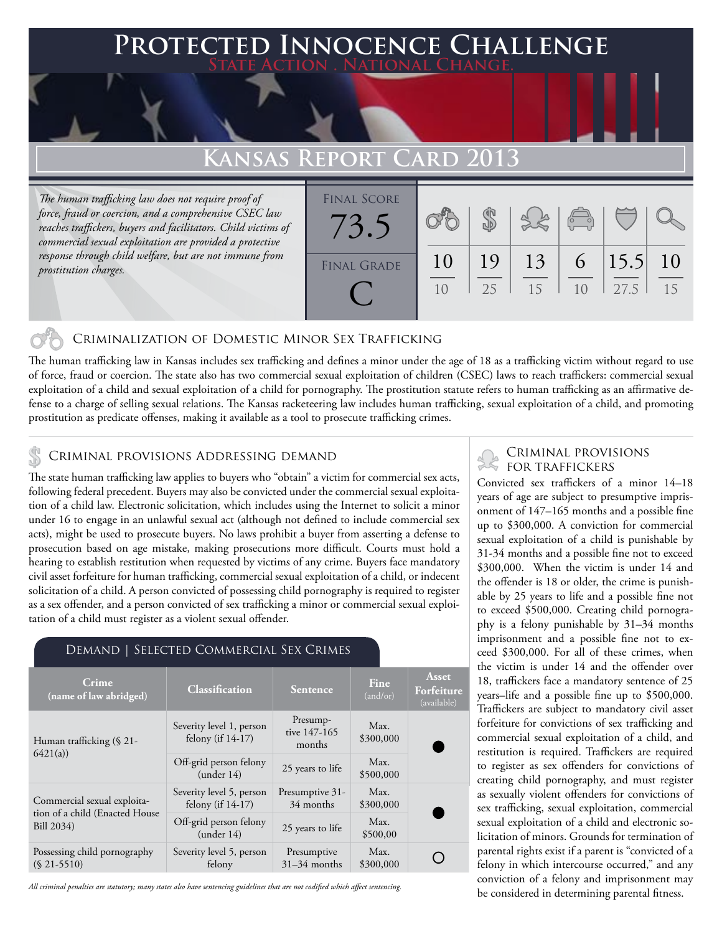### **Protected Innocence Challenge State Action . National Change.**

## **Kansas Report Card 2013**

*The human trafficking law does not require proof of force, fraud or coercion, and a comprehensive CSEC law reaches traffickers, buyers and facilitators. Child victims of commercial sexual exploitation are provided a protective response through child welfare, but are not immune from prostitution charges.*

| <b>FINAL SCORE</b><br>3.5 |    |     |    | $\begin{pmatrix} 0 & 0 \\ 0 & 0 \end{pmatrix}$ |      |    |
|---------------------------|----|-----|----|------------------------------------------------|------|----|
| <b>FINAL GRADE</b>        | 10 | 19  | 13 | 6 <sup>7</sup>                                 | 15.5 | 10 |
|                           | 10 | 2.5 | 15 | 10                                             | 27.5 | 15 |

#### Criminalization of Domestic Minor Sex Trafficking

The human trafficking law in Kansas includes sex trafficking and defines a minor under the age of 18 as a trafficking victim without regard to use of force, fraud or coercion. The state also has two commercial sexual exploitation of children (CSEC) laws to reach traffickers: commercial sexual exploitation of a child and sexual exploitation of a child for pornography. The prostitution statute refers to human trafficking as an affirmative defense to a charge of selling sexual relations. The Kansas racketeering law includes human trafficking, sexual exploitation of a child, and promoting prostitution as predicate offenses, making it available as a tool to prosecute trafficking crimes.

## CRIMINAL PROVISIONS ADDRESSING DEMAND

The state human trafficking law applies to buyers who "obtain" a victim for commercial sex acts, following federal precedent. Buyers may also be convicted under the commercial sexual exploitation of a child law. Electronic solicitation, which includes using the Internet to solicit a minor under 16 to engage in an unlawful sexual act (although not defined to include commercial sex acts), might be used to prosecute buyers. No laws prohibit a buyer from asserting a defense to prosecution based on age mistake, making prosecutions more difficult. Courts must hold a hearing to establish restitution when requested by victims of any crime. Buyers face mandatory civil asset forfeiture for human trafficking, commercial sexual exploitation of a child, or indecent solicitation of a child. A person convicted of possessing child pornography is required to register as a sex offender, and a person convicted of sex trafficking a minor or commercial sexual exploitation of a child must register as a violent sexual offender.

#### Demand | Selected Commercial Sex Crimes

| Crime<br>(name of law abridged)                                             | Classification                                   | Sentence                           | <b>Fine</b><br>(and/or) | Asset<br>Forfeiture<br>(available) |
|-----------------------------------------------------------------------------|--------------------------------------------------|------------------------------------|-------------------------|------------------------------------|
| Human trafficking (§ 21-<br>6421(a)                                         | Severity level 1, person<br>felony (if $14-17$ ) | Presump-<br>tive 147-165<br>months | Max.<br>\$300,000       |                                    |
|                                                                             | Off-grid person felony<br>(under 14)             | 25 years to life                   | Max.<br>\$500,000       |                                    |
| Commercial sexual exploita-<br>tion of a child (Enacted House<br>Bill 2034) | Severity level 5, person<br>felony (if 14-17)    | Presumptive 31-<br>34 months       | Max.<br>\$300,000       |                                    |
|                                                                             | Off-grid person felony<br>(under 14)             | 25 years to life                   | Max.<br>\$500,00        |                                    |
| Possessing child pornography<br>$(S 21 - 5510)$                             | Severity level 5, person<br>felony               | Presumptive<br>$31-34$ months      | Max.<br>\$300,000       |                                    |

*All criminal penalties are statutory; many states also have sentencing guidelines that are not codified which affect sentencing.* 

# Criminal provisions

Convicted sex traffickers of a minor 14–18 years of age are subject to presumptive imprisonment of 147–165 months and a possible fine up to \$300,000. A conviction for commercial sexual exploitation of a child is punishable by 31-34 months and a possible fine not to exceed \$300,000. When the victim is under 14 and the offender is 18 or older, the crime is punishable by 25 years to life and a possible fine not to exceed \$500,000. Creating child pornography is a felony punishable by 31–34 months imprisonment and a possible fine not to exceed \$300,000. For all of these crimes, when the victim is under 14 and the offender over 18, traffickers face a mandatory sentence of 25 years–life and a possible fine up to \$500,000. Traffickers are subject to mandatory civil asset forfeiture for convictions of sex trafficking and commercial sexual exploitation of a child, and restitution is required. Traffickers are required to register as sex offenders for convictions of creating child pornography, and must register as sexually violent offenders for convictions of sex trafficking, sexual exploitation, commercial sexual exploitation of a child and electronic solicitation of minors. Grounds for termination of parental rights exist if a parent is "convicted of a felony in which intercourse occurred," and any conviction of a felony and imprisonment may be considered in determining parental fitness.